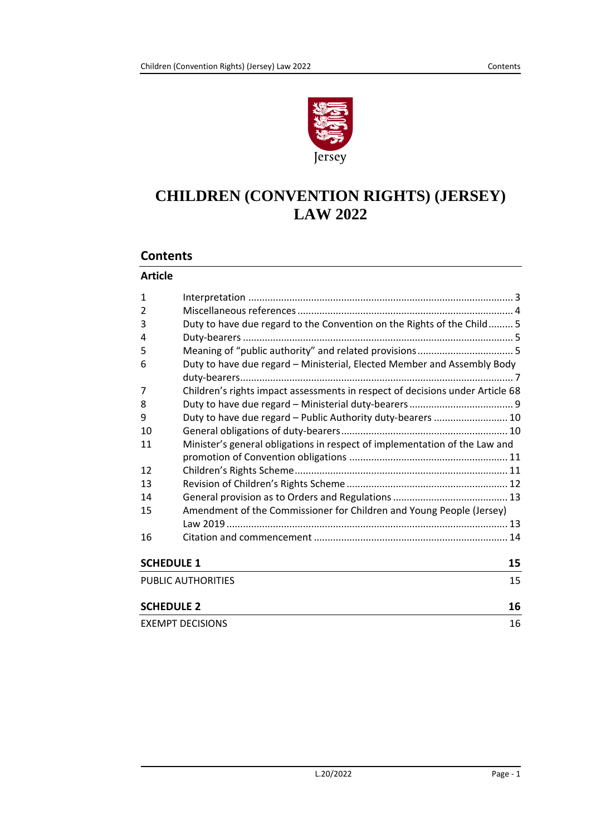

# **CHILDREN (CONVENTION RIGHTS) (JERSEY) LAW 2022**

## **Contents**

#### **Article**

| $\mathbf{1}$      |                                                                               |    |
|-------------------|-------------------------------------------------------------------------------|----|
| $\overline{2}$    |                                                                               |    |
| 3                 | Duty to have due regard to the Convention on the Rights of the Child 5        |    |
| 4                 |                                                                               |    |
| 5                 |                                                                               |    |
| 6                 | Duty to have due regard - Ministerial, Elected Member and Assembly Body       |    |
|                   |                                                                               |    |
| 7                 | Children's rights impact assessments in respect of decisions under Article 68 |    |
| 8                 |                                                                               |    |
| 9                 | Duty to have due regard - Public Authority duty-bearers  10                   |    |
| 10                |                                                                               |    |
| 11                | Minister's general obligations in respect of implementation of the Law and    |    |
|                   |                                                                               |    |
| 12                |                                                                               |    |
| 13                |                                                                               |    |
| 14                |                                                                               |    |
| 15                | Amendment of the Commissioner for Children and Young People (Jersey)          |    |
|                   |                                                                               |    |
| 16                |                                                                               |    |
| <b>SCHEDULE 1</b> |                                                                               | 15 |
|                   | PUBLIC AUTHORITIES                                                            | 15 |
| <b>SCHEDULE 2</b> |                                                                               | 16 |
|                   | <b>EXEMPT DECISIONS</b>                                                       | 16 |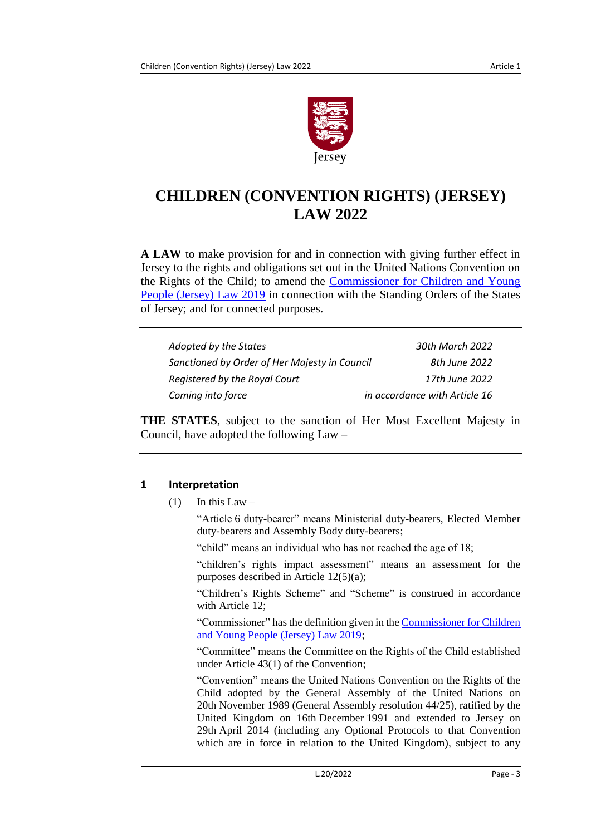

# **CHILDREN (CONVENTION RIGHTS) (JERSEY) LAW 2022**

**A LAW** to make provision for and in connection with giving further effect in Jersey to the rights and obligations set out in the United Nations Convention on the Rights of the Child; to amend the [Commissioner for Children and Young](https://www.jerseylaw.je/laws/current/Pages/12.280.aspx)  [People \(Jersey\) Law](https://www.jerseylaw.je/laws/current/Pages/12.280.aspx) 2019 in connection with the Standing Orders of the States of Jersey; and for connected purposes.

| Adopted by the States                         | 30th March 2022               |
|-----------------------------------------------|-------------------------------|
| Sanctioned by Order of Her Majesty in Council | 8th June 2022                 |
| Registered by the Royal Court                 | 17th June 2022                |
| Coming into force                             | in accordance with Article 16 |

**THE STATES**, subject to the sanction of Her Most Excellent Majesty in Council, have adopted the following Law –

# <span id="page-2-0"></span>**1 Interpretation**

 $(1)$  In this Law –

"Article 6 duty-bearer" means Ministerial duty-bearers, Elected Member duty-bearers and Assembly Body duty-bearers;

"child" means an individual who has not reached the age of 18;

"children's rights impact assessment" means an assessment for the purposes described in Article 12(5)(a);

"Children's Rights Scheme" and "Scheme" is construed in accordance with Article 12;

"Commissioner" has the definition given in th[e Commissioner for Children](https://www.jerseylaw.je/laws/current/Pages/12.280.aspx)  [and Young People \(Jersey\) Law](https://www.jerseylaw.je/laws/current/Pages/12.280.aspx) 2019;

"Committee" means the Committee on the Rights of the Child established under Article 43(1) of the Convention;

"Convention" means the United Nations Convention on the Rights of the Child adopted by the General Assembly of the United Nations on 20th November 1989 (General Assembly resolution 44/25), ratified by the United Kingdom on 16th December 1991 and extended to Jersey on 29th April 2014 (including any Optional Protocols to that Convention which are in force in relation to the United Kingdom), subject to any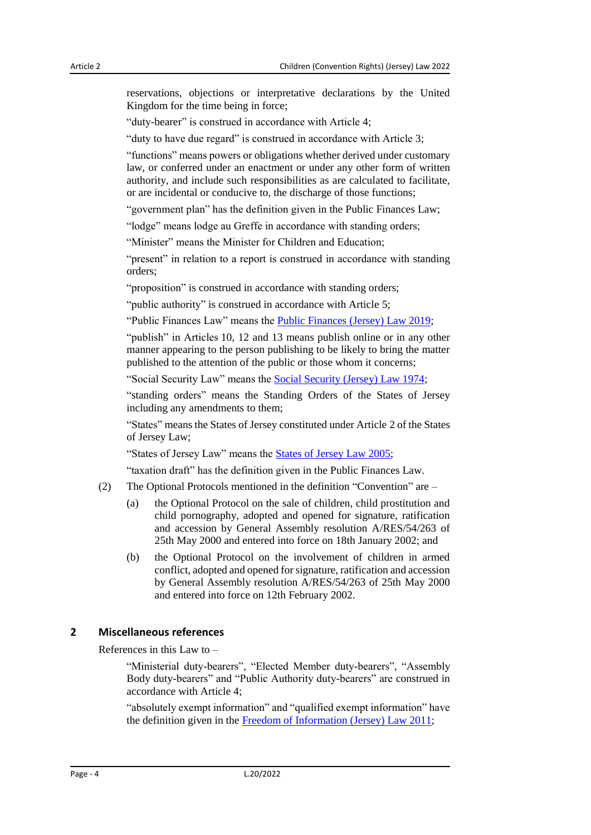reservations, objections or interpretative declarations by the United Kingdom for the time being in force;

"duty-bearer" is construed in accordance with Article 4;

"duty to have due regard" is construed in accordance with Article 3;

"functions" means powers or obligations whether derived under customary law, or conferred under an enactment or under any other form of written authority, and include such responsibilities as are calculated to facilitate, or are incidental or conducive to, the discharge of those functions;

"government plan" has the definition given in the Public Finances Law;

"lodge" means lodge au Greffe in accordance with standing orders;

"Minister" means the Minister for Children and Education;

"present" in relation to a report is construed in accordance with standing orders;

"proposition" is construed in accordance with standing orders;

"public authority" is construed in accordance with Article 5;

"Public Finances Law" means the [Public Finances \(Jersey\) Law](https://www.jerseylaw.je/laws/current/Pages/24.900.aspx) 2019;

"publish" in Articles 10, 12 and 13 means publish online or in any other manner appearing to the person publishing to be likely to bring the matter published to the attention of the public or those whom it concerns;

"Social Security Law" means the [Social Security \(Jersey\) Law](https://www.jerseylaw.je/laws/current/Pages/26.900.aspx) 1974;

"standing orders" means the Standing Orders of the States of Jersey including any amendments to them;

"States" means the States of Jersey constituted under Article 2 of the States of Jersey Law;

"States of Jersey Law" means the [States of Jersey Law](https://www.jerseylaw.je/laws/current/Pages/16.800.aspx) 2005;

"taxation draft" has the definition given in the Public Finances Law.

- (2) The Optional Protocols mentioned in the definition "Convention" are
	- (a) the Optional Protocol on the sale of children, child prostitution and child pornography, adopted and opened for signature, ratification and accession by General Assembly resolution A/RES/54/263 of 25th May 2000 and entered into force on 18th January 2002; and
	- (b) the Optional Protocol on the involvement of children in armed conflict, adopted and opened for signature, ratification and accession by General Assembly resolution A/RES/54/263 of 25th May 2000 and entered into force on 12th February 2002.

#### <span id="page-3-0"></span>**2 Miscellaneous references**

References in this Law to –

"Ministerial duty-bearers", "Elected Member duty-bearers", "Assembly Body duty-bearers" and "Public Authority duty-bearers" are construed in accordance with Article 4;

"absolutely exempt information" and "qualified exempt information" have the definition given in the [Freedom of Information \(Jersey\) Law](https://www.jerseylaw.je/laws/current/Pages/16.330.aspx) 2011;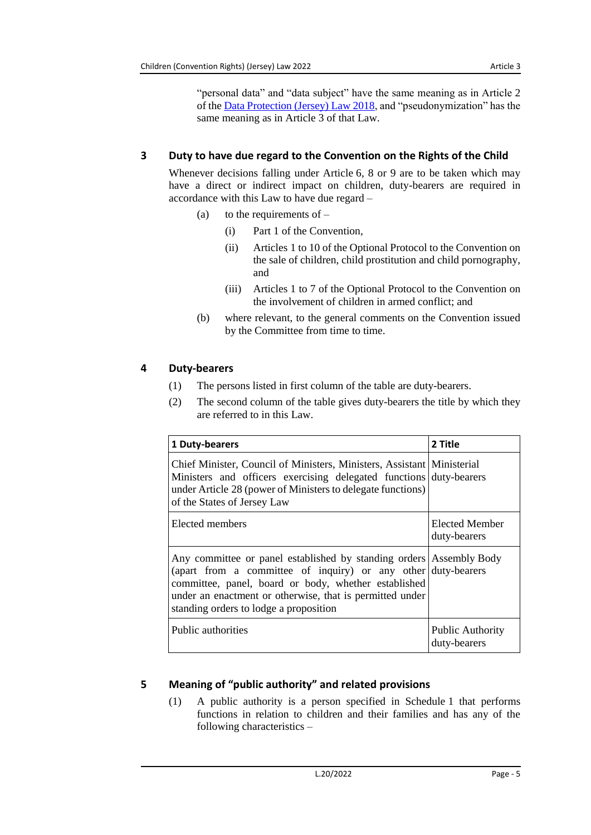"personal data" and "data subject" have the same meaning as in Article 2 of the [Data Protection \(Jersey\) Law 2018,](https://www.jerseylaw.je/laws/current/Pages/15.240.aspx) and "pseudonymization" has the same meaning as in Article 3 of that Law.

## <span id="page-4-0"></span>**3 Duty to have due regard to the Convention on the Rights of the Child**

Whenever decisions falling under Article 6, 8 or 9 are to be taken which may have a direct or indirect impact on children, duty-bearers are required in accordance with this Law to have due regard –

- (a) to the requirements of  $-$ 
	- (i) Part 1 of the Convention,
	- (ii) Articles 1 to 10 of the Optional Protocol to the Convention on the sale of children, child prostitution and child pornography, and
	- (iii) Articles 1 to 7 of the Optional Protocol to the Convention on the involvement of children in armed conflict; and
- (b) where relevant, to the general comments on the Convention issued by the Committee from time to time.

## <span id="page-4-1"></span>**4 Duty-bearers**

- (1) The persons listed in first column of the table are duty-bearers.
- (2) The second column of the table gives duty-bearers the title by which they are referred to in this Law.

| 1 Duty-bearers                                                                                                                                                                                                                                                                                     | 2 Title                                 |
|----------------------------------------------------------------------------------------------------------------------------------------------------------------------------------------------------------------------------------------------------------------------------------------------------|-----------------------------------------|
| Chief Minister, Council of Ministers, Ministers, Assistant Ministerial<br>Ministers and officers exercising delegated functions duty-bearers<br>under Article 28 (power of Ministers to delegate functions)<br>of the States of Jersey Law                                                         |                                         |
| Elected members                                                                                                                                                                                                                                                                                    | Elected Member<br>duty-bearers          |
| Any committee or panel established by standing orders Assembly Body<br>(apart from a committee of inquiry) or any other duty-bearers<br>committee, panel, board or body, whether established<br>under an enactment or otherwise, that is permitted under<br>standing orders to lodge a proposition |                                         |
| Public authorities                                                                                                                                                                                                                                                                                 | <b>Public Authority</b><br>duty-bearers |

# <span id="page-4-2"></span>**5 Meaning of "public authority" and related provisions**

(1) A public authority is a person specified in Schedule 1 that performs functions in relation to children and their families and has any of the following characteristics –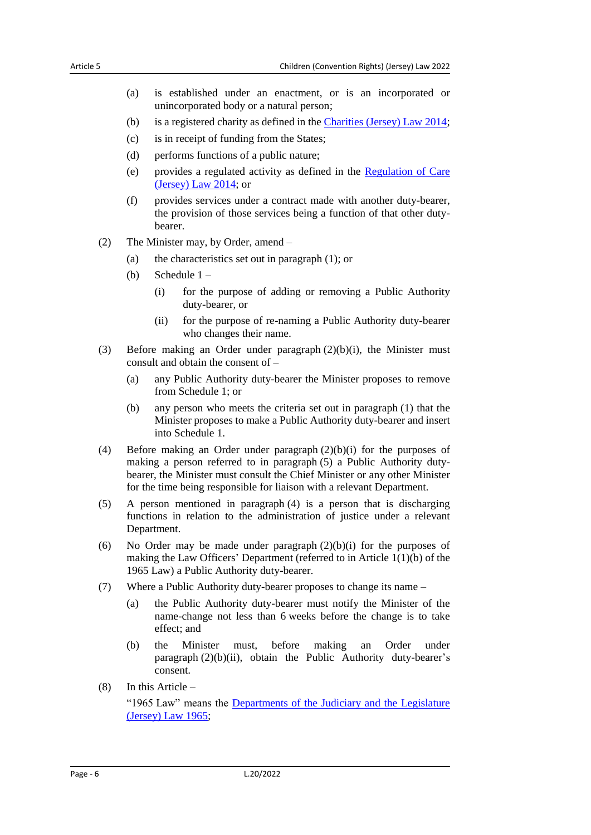- (a) is established under an enactment, or is an incorporated or unincorporated body or a natural person;
- (b) is a registered charity as defined in the [Charities \(Jersey\) Law](https://www.jerseylaw.je/laws/current/Pages/15.070.aspx) 2014;
- (c) is in receipt of funding from the States;
- (d) performs functions of a public nature;
- (e) provides a regulated activity as defined in the [Regulation of Care](https://www.jerseylaw.je/laws/current/Pages/20.820.aspx)  [\(Jersey\) Law](https://www.jerseylaw.je/laws/current/Pages/20.820.aspx) 2014; or
- (f) provides services under a contract made with another duty-bearer, the provision of those services being a function of that other dutybearer.
- (2) The Minister may, by Order, amend
	- (a) the characteristics set out in paragraph (1); or
	- (b) Schedule 1
		- (i) for the purpose of adding or removing a Public Authority duty-bearer, or
		- (ii) for the purpose of re-naming a Public Authority duty-bearer who changes their name.
- (3) Before making an Order under paragraph (2)(b)(i), the Minister must consult and obtain the consent of –
	- (a) any Public Authority duty-bearer the Minister proposes to remove from Schedule 1; or
	- (b) any person who meets the criteria set out in paragraph (1) that the Minister proposes to make a Public Authority duty-bearer and insert into Schedule 1.
- (4) Before making an Order under paragraph (2)(b)(i) for the purposes of making a person referred to in paragraph (5) a Public Authority dutybearer, the Minister must consult the Chief Minister or any other Minister for the time being responsible for liaison with a relevant Department.
- (5) A person mentioned in paragraph (4) is a person that is discharging functions in relation to the administration of justice under a relevant Department.
- (6) No Order may be made under paragraph  $(2)(b)(i)$  for the purposes of making the Law Officers' Department (referred to in Article 1(1)(b) of the 1965 Law) a Public Authority duty-bearer.
- (7) Where a Public Authority duty-bearer proposes to change its name
	- (a) the Public Authority duty-bearer must notify the Minister of the name-change not less than 6 weeks before the change is to take effect; and
	- (b) the Minister must, before making an Order under paragraph  $(2)(b)(ii)$ , obtain the Public Authority duty-bearer's consent.
- (8) In this Article –

"1965 Law" means the [Departments of the Judiciary and the Legislature](https://www.jerseylaw.je/laws/current/Pages/16.300.aspx)  [\(Jersey\) Law](https://www.jerseylaw.je/laws/current/Pages/16.300.aspx) 1965;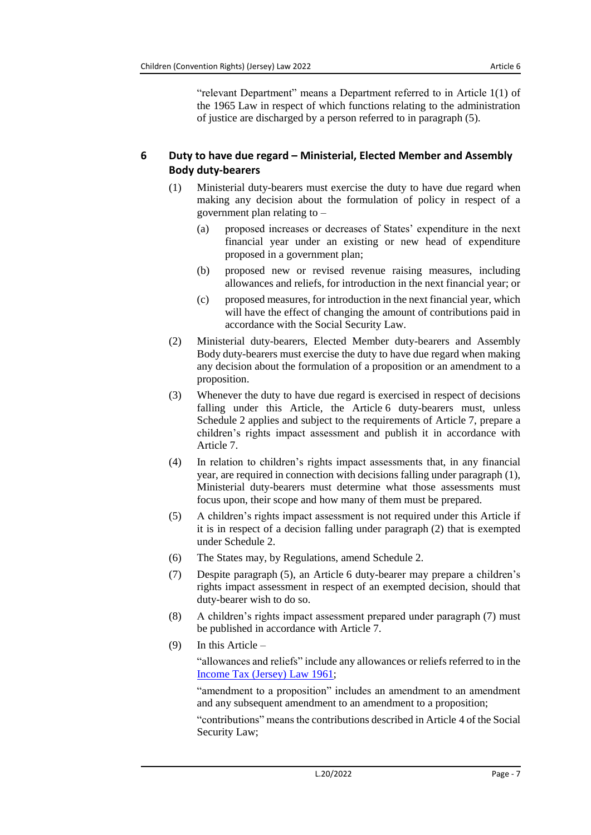"relevant Department" means a Department referred to in Article 1(1) of the 1965 Law in respect of which functions relating to the administration of justice are discharged by a person referred to in paragraph (5).

## <span id="page-6-0"></span>**6 Duty to have due regard – Ministerial, Elected Member and Assembly Body duty-bearers**

- (1) Ministerial duty-bearers must exercise the duty to have due regard when making any decision about the formulation of policy in respect of a government plan relating to –
	- (a) proposed increases or decreases of States' expenditure in the next financial year under an existing or new head of expenditure proposed in a government plan;
	- (b) proposed new or revised revenue raising measures, including allowances and reliefs, for introduction in the next financial year; or
	- (c) proposed measures, for introduction in the next financial year, which will have the effect of changing the amount of contributions paid in accordance with the Social Security Law.
- (2) Ministerial duty-bearers, Elected Member duty-bearers and Assembly Body duty-bearers must exercise the duty to have due regard when making any decision about the formulation of a proposition or an amendment to a proposition.
- (3) Whenever the duty to have due regard is exercised in respect of decisions falling under this Article, the Article 6 duty-bearers must, unless Schedule 2 applies and subject to the requirements of Article 7, prepare a children's rights impact assessment and publish it in accordance with Article 7.
- (4) In relation to children's rights impact assessments that, in any financial year, are required in connection with decisions falling under paragraph (1), Ministerial duty-bearers must determine what those assessments must focus upon, their scope and how many of them must be prepared.
- (5) A children's rights impact assessment is not required under this Article if it is in respect of a decision falling under paragraph (2) that is exempted under Schedule 2.
- (6) The States may, by Regulations, amend Schedule 2.
- (7) Despite paragraph (5), an Article 6 duty-bearer may prepare a children's rights impact assessment in respect of an exempted decision, should that duty-bearer wish to do so.
- (8) A children's rights impact assessment prepared under paragraph (7) must be published in accordance with Article 7.
- (9) In this Article –

"allowances and reliefs" include any allowances or reliefs referred to in the [Income Tax \(Jersey\) Law](https://www.jerseylaw.je/laws/current/Pages/24.750.aspx) 1961;

"amendment to a proposition" includes an amendment to an amendment and any subsequent amendment to an amendment to a proposition;

"contributions" means the contributions described in Article 4 of the Social Security Law;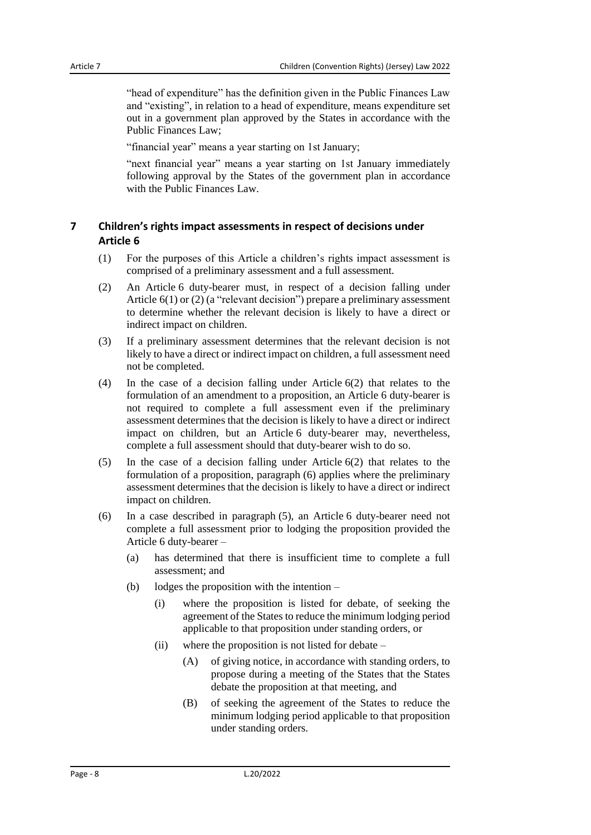"head of expenditure" has the definition given in the Public Finances Law and "existing", in relation to a head of expenditure, means expenditure set out in a government plan approved by the States in accordance with the Public Finances Law;

"financial year" means a year starting on 1st January;

"next financial year" means a year starting on 1st January immediately following approval by the States of the government plan in accordance with the Public Finances Law.

## <span id="page-7-0"></span>**7 Children's rights impact assessments in respect of decisions under Article 6**

- (1) For the purposes of this Article a children's rights impact assessment is comprised of a preliminary assessment and a full assessment.
- (2) An Article 6 duty-bearer must, in respect of a decision falling under Article 6(1) or (2) (a "relevant decision") prepare a preliminary assessment to determine whether the relevant decision is likely to have a direct or indirect impact on children.
- (3) If a preliminary assessment determines that the relevant decision is not likely to have a direct or indirect impact on children, a full assessment need not be completed.
- (4) In the case of a decision falling under Article 6(2) that relates to the formulation of an amendment to a proposition, an Article 6 duty-bearer is not required to complete a full assessment even if the preliminary assessment determines that the decision is likely to have a direct or indirect impact on children, but an Article 6 duty-bearer may, nevertheless, complete a full assessment should that duty-bearer wish to do so.
- (5) In the case of a decision falling under Article 6(2) that relates to the formulation of a proposition, paragraph (6) applies where the preliminary assessment determines that the decision is likely to have a direct or indirect impact on children.
- (6) In a case described in paragraph (5), an Article 6 duty-bearer need not complete a full assessment prior to lodging the proposition provided the Article 6 duty-bearer –
	- (a) has determined that there is insufficient time to complete a full assessment; and
	- (b) lodges the proposition with the intention
		- (i) where the proposition is listed for debate, of seeking the agreement of the States to reduce the minimum lodging period applicable to that proposition under standing orders, or
		- (ii) where the proposition is not listed for debate
			- (A) of giving notice, in accordance with standing orders, to propose during a meeting of the States that the States debate the proposition at that meeting, and
			- (B) of seeking the agreement of the States to reduce the minimum lodging period applicable to that proposition under standing orders.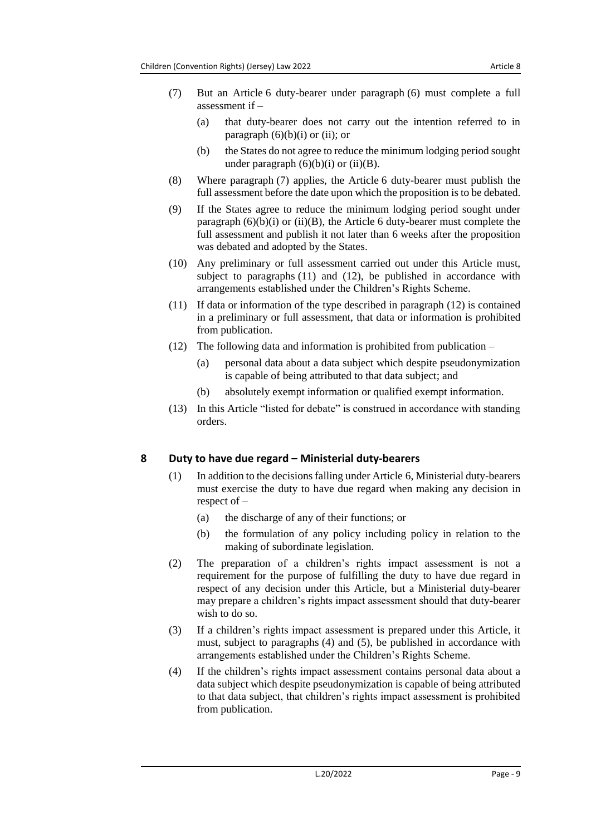- (7) But an Article 6 duty-bearer under paragraph (6) must complete a full assessment if –
	- (a) that duty-bearer does not carry out the intention referred to in paragraph  $(6)(b)(i)$  or (ii); or
	- (b) the States do not agree to reduce the minimum lodging period sought under paragraph  $(6)(b)(i)$  or  $(ii)(B)$ .
- (8) Where paragraph (7) applies, the Article 6 duty-bearer must publish the full assessment before the date upon which the proposition is to be debated.
- (9) If the States agree to reduce the minimum lodging period sought under paragraph  $(6)(b)(i)$  or  $(ii)(B)$ , the Article 6 duty-bearer must complete the full assessment and publish it not later than 6 weeks after the proposition was debated and adopted by the States.
- (10) Any preliminary or full assessment carried out under this Article must, subject to paragraphs (11) and (12), be published in accordance with arrangements established under the Children's Rights Scheme.
- (11) If data or information of the type described in paragraph (12) is contained in a preliminary or full assessment, that data or information is prohibited from publication.
- (12) The following data and information is prohibited from publication
	- (a) personal data about a data subject which despite pseudonymization is capable of being attributed to that data subject; and
	- (b) absolutely exempt information or qualified exempt information.
- (13) In this Article "listed for debate" is construed in accordance with standing orders.

### <span id="page-8-0"></span>**8 Duty to have due regard – Ministerial duty-bearers**

- (1) In addition to the decisions falling under Article 6, Ministerial duty-bearers must exercise the duty to have due regard when making any decision in respect of –
	- (a) the discharge of any of their functions; or
	- (b) the formulation of any policy including policy in relation to the making of subordinate legislation.
- (2) The preparation of a children's rights impact assessment is not a requirement for the purpose of fulfilling the duty to have due regard in respect of any decision under this Article, but a Ministerial duty-bearer may prepare a children's rights impact assessment should that duty-bearer wish to do so.
- (3) If a children's rights impact assessment is prepared under this Article, it must, subject to paragraphs (4) and (5), be published in accordance with arrangements established under the Children's Rights Scheme.
- (4) If the children's rights impact assessment contains personal data about a data subject which despite pseudonymization is capable of being attributed to that data subject, that children's rights impact assessment is prohibited from publication.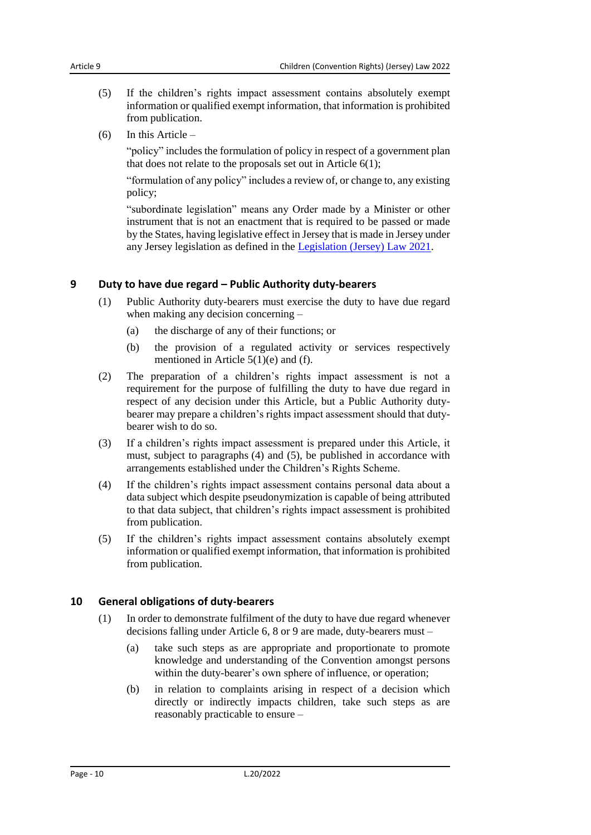- (5) If the children's rights impact assessment contains absolutely exempt information or qualified exempt information, that information is prohibited from publication.
- (6) In this Article –

"policy" includes the formulation of policy in respect of a government plan that does not relate to the proposals set out in Article 6(1);

"formulation of any policy" includes a review of, or change to, any existing policy;

"subordinate legislation" means any Order made by a Minister or other instrument that is not an enactment that is required to be passed or made by the States, having legislative effect in Jersey that is made in Jersey under any Jersey legislation as defined in the [Legislation \(Jersey\) Law](https://www.jerseylaw.je/laws/current/Pages/16.410.aspx) 2021.

### <span id="page-9-0"></span>**9 Duty to have due regard – Public Authority duty-bearers**

- (1) Public Authority duty-bearers must exercise the duty to have due regard when making any decision concerning –
	- (a) the discharge of any of their functions; or
	- (b) the provision of a regulated activity or services respectively mentioned in Article 5(1)(e) and (f).
- (2) The preparation of a children's rights impact assessment is not a requirement for the purpose of fulfilling the duty to have due regard in respect of any decision under this Article, but a Public Authority dutybearer may prepare a children's rights impact assessment should that dutybearer wish to do so.
- (3) If a children's rights impact assessment is prepared under this Article, it must, subject to paragraphs (4) and (5), be published in accordance with arrangements established under the Children's Rights Scheme.
- (4) If the children's rights impact assessment contains personal data about a data subject which despite pseudonymization is capable of being attributed to that data subject, that children's rights impact assessment is prohibited from publication.
- (5) If the children's rights impact assessment contains absolutely exempt information or qualified exempt information, that information is prohibited from publication.

### <span id="page-9-1"></span>**10 General obligations of duty-bearers**

- (1) In order to demonstrate fulfilment of the duty to have due regard whenever decisions falling under Article 6, 8 or 9 are made, duty-bearers must –
	- (a) take such steps as are appropriate and proportionate to promote knowledge and understanding of the Convention amongst persons within the duty-bearer's own sphere of influence, or operation;
	- (b) in relation to complaints arising in respect of a decision which directly or indirectly impacts children, take such steps as are reasonably practicable to ensure –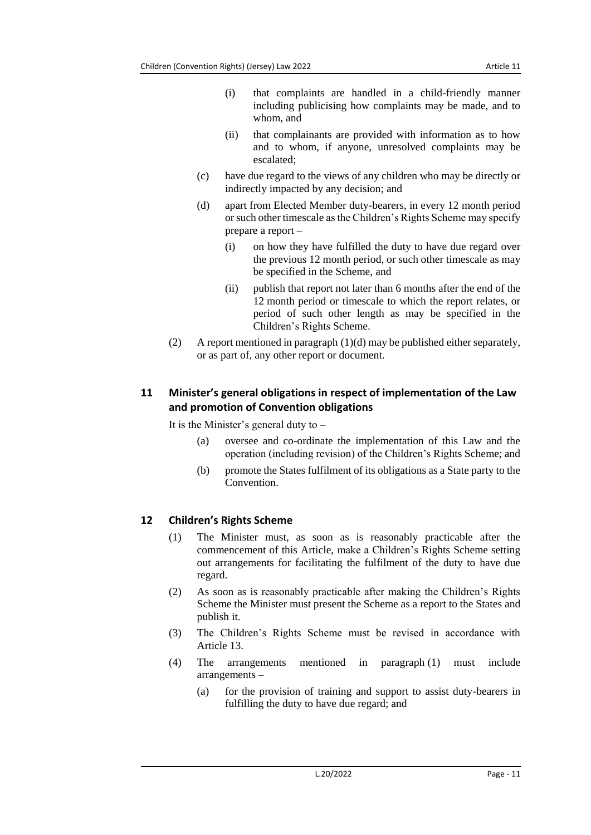- (i) that complaints are handled in a child-friendly manner including publicising how complaints may be made, and to whom, and
- (ii) that complainants are provided with information as to how and to whom, if anyone, unresolved complaints may be escalated;
- (c) have due regard to the views of any children who may be directly or indirectly impacted by any decision; and
- (d) apart from Elected Member duty-bearers, in every 12 month period or such other timescale as the Children's Rights Scheme may specify prepare a report –
	- (i) on how they have fulfilled the duty to have due regard over the previous 12 month period, or such other timescale as may be specified in the Scheme, and
	- (ii) publish that report not later than 6 months after the end of the 12 month period or timescale to which the report relates, or period of such other length as may be specified in the Children's Rights Scheme.
- (2) A report mentioned in paragraph (1)(d) may be published either separately, or as part of, any other report or document.

## <span id="page-10-0"></span>**11 Minister's general obligations in respect of implementation of the Law and promotion of Convention obligations**

It is the Minister's general duty to  $-$ 

- (a) oversee and co-ordinate the implementation of this Law and the operation (including revision) of the Children's Rights Scheme; and
- (b) promote the States fulfilment of its obligations as a State party to the Convention.

## <span id="page-10-1"></span>**12 Children's Rights Scheme**

- (1) The Minister must, as soon as is reasonably practicable after the commencement of this Article, make a Children's Rights Scheme setting out arrangements for facilitating the fulfilment of the duty to have due regard.
- (2) As soon as is reasonably practicable after making the Children's Rights Scheme the Minister must present the Scheme as a report to the States and publish it.
- (3) The Children's Rights Scheme must be revised in accordance with Article 13.
- (4) The arrangements mentioned in paragraph (1) must include arrangements –
	- (a) for the provision of training and support to assist duty-bearers in fulfilling the duty to have due regard; and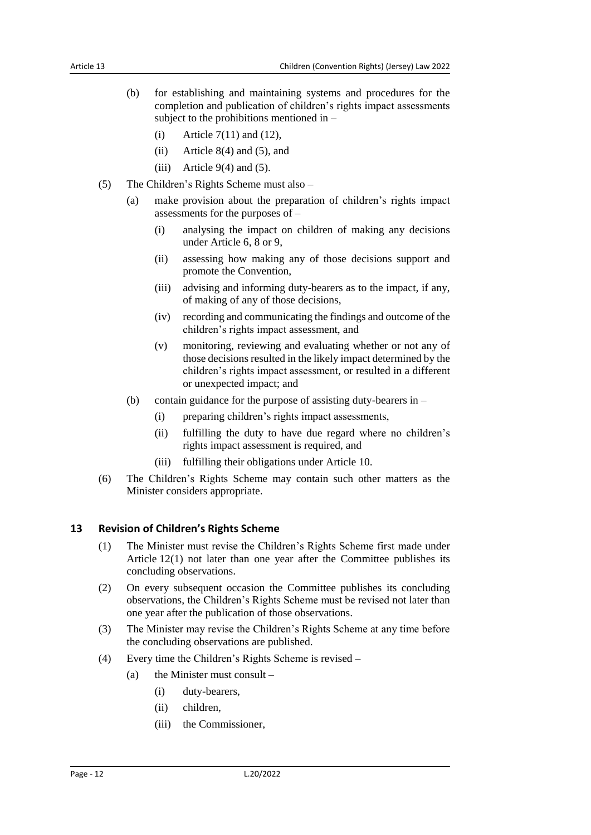- (b) for establishing and maintaining systems and procedures for the completion and publication of children's rights impact assessments subject to the prohibitions mentioned in –
	- (i) Article  $7(11)$  and  $(12)$ ,
	- (ii) Article 8(4) and (5), and
	- (iii) Article  $9(4)$  and (5).
- (5) The Children's Rights Scheme must also
	- (a) make provision about the preparation of children's rights impact assessments for the purposes of –
		- (i) analysing the impact on children of making any decisions under Article 6, 8 or 9,
		- (ii) assessing how making any of those decisions support and promote the Convention,
		- (iii) advising and informing duty-bearers as to the impact, if any, of making of any of those decisions,
		- (iv) recording and communicating the findings and outcome of the children's rights impact assessment, and
		- (v) monitoring, reviewing and evaluating whether or not any of those decisions resulted in the likely impact determined by the children's rights impact assessment, or resulted in a different or unexpected impact; and
	- (b) contain guidance for the purpose of assisting duty-bearers in
		- (i) preparing children's rights impact assessments,
		- (ii) fulfilling the duty to have due regard where no children's rights impact assessment is required, and
		- (iii) fulfilling their obligations under Article 10.
- (6) The Children's Rights Scheme may contain such other matters as the Minister considers appropriate.

#### <span id="page-11-0"></span>**13 Revision of Children's Rights Scheme**

- (1) The Minister must revise the Children's Rights Scheme first made under Article 12(1) not later than one year after the Committee publishes its concluding observations.
- (2) On every subsequent occasion the Committee publishes its concluding observations, the Children's Rights Scheme must be revised not later than one year after the publication of those observations.
- (3) The Minister may revise the Children's Rights Scheme at any time before the concluding observations are published.
- (4) Every time the Children's Rights Scheme is revised
	- (a) the Minister must consult  $-$ 
		- (i) duty-bearers,
			- (ii) children,
			- (iii) the Commissioner,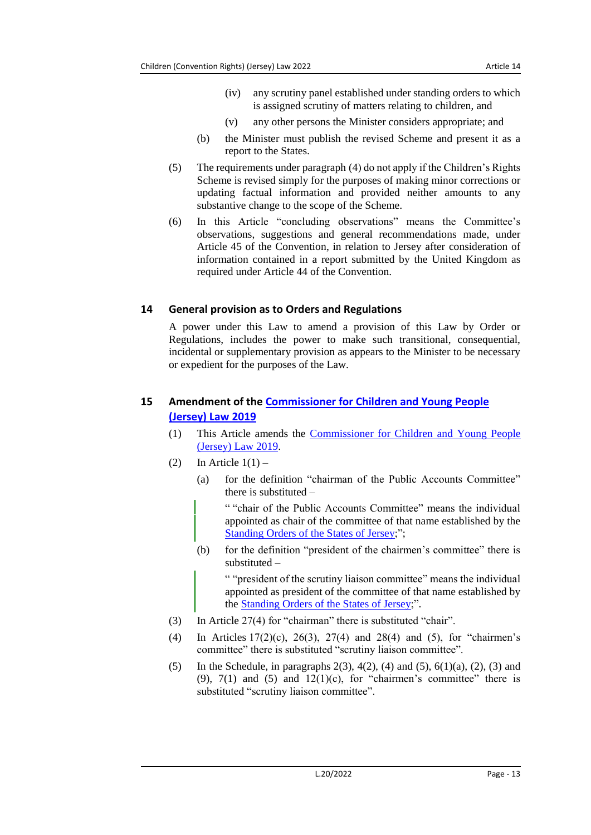- (iv) any scrutiny panel established under standing orders to which is assigned scrutiny of matters relating to children, and
- (v) any other persons the Minister considers appropriate; and
- (b) the Minister must publish the revised Scheme and present it as a report to the States.
- (5) The requirements under paragraph (4) do not apply if the Children's Rights Scheme is revised simply for the purposes of making minor corrections or updating factual information and provided neither amounts to any substantive change to the scope of the Scheme.
- (6) In this Article "concluding observations" means the Committee's observations, suggestions and general recommendations made, under Article 45 of the Convention, in relation to Jersey after consideration of information contained in a report submitted by the United Kingdom as required under Article 44 of the Convention.

### <span id="page-12-0"></span>**14 General provision as to Orders and Regulations**

A power under this Law to amend a provision of this Law by Order or Regulations, includes the power to make such transitional, consequential, incidental or supplementary provision as appears to the Minister to be necessary or expedient for the purposes of the Law.

## <span id="page-12-1"></span>**15 Amendment of the [Commissioner for Children and Young People](https://www.jerseylaw.je/laws/current/Pages/12.280.aspx)  [\(Jersey\) Law](https://www.jerseylaw.je/laws/current/Pages/12.280.aspx) 2019**

- (1) This Article amends the [Commissioner for Children](https://www.jerseylaw.je/laws/current/Pages/12.280.aspx) and Young People [\(Jersey\) Law 2019.](https://www.jerseylaw.je/laws/current/Pages/12.280.aspx)
- (2) In Article  $1(1)$ 
	- (a) for the definition "chairman of the Public Accounts Committee" there is substituted –

" "chair of the Public Accounts Committee" means the individual appointed as chair of the committee of that name established by the Standing Orders [of the States of Jersey;](https://www.jerseylaw.je/laws/current/Pages/16.800.15.aspx)";

(b) for the definition "president of the chairmen's committee" there is substituted –

" "president of the scrutiny liaison committee" means the individual appointed as president of the committee of that name established by the Standing Orders [of the States of Jersey;](https://www.jerseylaw.je/laws/current/Pages/16.800.15.aspx)".

- (3) In Article 27(4) for "chairman" there is substituted "chair".
- (4) In Articles 17(2)(c), 26(3), 27(4) and 28(4) and (5), for "chairmen's committee" there is substituted "scrutiny liaison committee".
- (5) In the Schedule, in paragraphs  $2(3)$ ,  $4(2)$ ,  $(4)$  and  $(5)$ ,  $6(1)(a)$ ,  $(2)$ ,  $(3)$  and (9),  $7(1)$  and (5) and  $12(1)(c)$ , for "chairmen's committee" there is substituted "scrutiny liaison committee".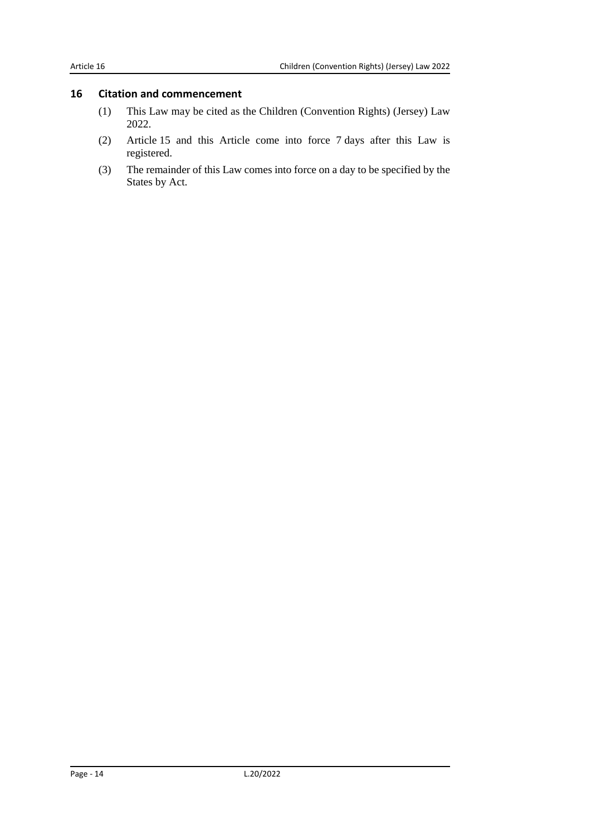## <span id="page-13-0"></span>**16 Citation and commencement**

- (1) This Law may be cited as the Children (Convention Rights) (Jersey) Law 2022.
- (2) Article 15 and this Article come into force 7 days after this Law is registered.
- (3) The remainder of this Law comes into force on a day to be specified by the States by Act.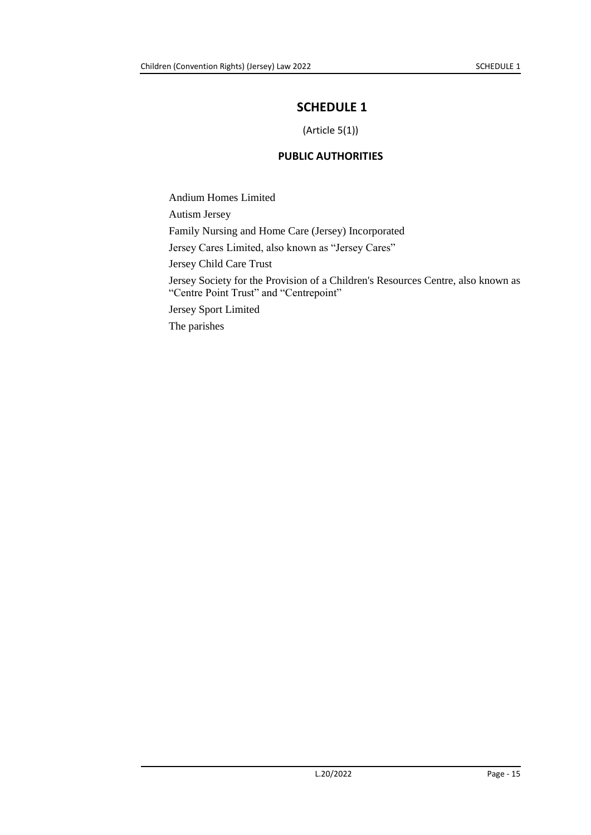# <span id="page-14-0"></span>**SCHEDULE 1**

(Article 5(1))

## **PUBLIC AUTHORITIES**

<span id="page-14-1"></span>Andium Homes Limited Autism Jersey Family Nursing and Home Care (Jersey) Incorporated Jersey Cares Limited, also known as "Jersey Cares" Jersey Child Care Trust Jersey Society for the Provision of a Children's Resources Centre, also known as "Centre Point Trust" and "Centrepoint" Jersey Sport Limited The parishes